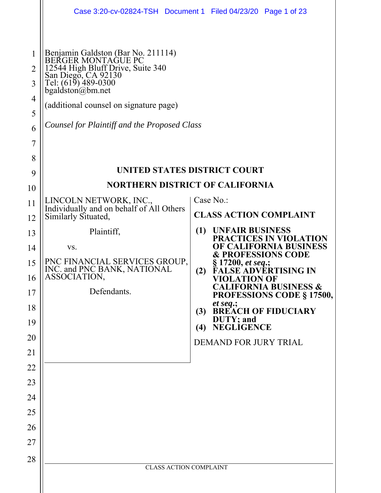|                                           |                                                                                                                                                                                                                                                              | Case 3:20-cv-02824-TSH  Document 1  Filed 04/23/20  Page 1 of 23                |
|-------------------------------------------|--------------------------------------------------------------------------------------------------------------------------------------------------------------------------------------------------------------------------------------------------------------|---------------------------------------------------------------------------------|
| 1<br>2<br>3<br>4<br>5<br>6<br>7<br>8<br>9 | Benjamin Galdston (Bar No. 211114)<br>BEŘGER MONTAGUE PC<br>12544 High Bluff Drive, Suite 340<br>San Diego, CA 92130<br>Tel: (619) 489-0300<br>$b$ galdston@bm.net<br>(additional counsel on signature page)<br>Counsel for Plaintiff and the Proposed Class | UNITED STATES DISTRICT COURT                                                    |
| 10                                        |                                                                                                                                                                                                                                                              | <b>NORTHERN DISTRICT OF CALIFORNIA</b>                                          |
| 11                                        | LINCOLN NETWORK, INC.,                                                                                                                                                                                                                                       | Case No.:                                                                       |
| 12                                        | Individually and on behalf of All Others<br>Similarly Situated,                                                                                                                                                                                              | <b>CLASS ACTION COMPLAINT</b>                                                   |
| 13                                        | Plaintiff,                                                                                                                                                                                                                                                   | (1)<br><b>UNFAIR BUSINESS</b><br>PRACTICES IN VIOLATION                         |
| 14                                        | VS.                                                                                                                                                                                                                                                          | OF CALIFORNIA BUSINESS<br><b>&amp; PROFESSIONS CODE</b>                         |
| 15<br>16                                  | PNC FINANCIAL SERVICES GROUP,<br>INC. and PNC BANK, NATIONAL<br>ASSOCIATION,                                                                                                                                                                                 | § 17200, <i>et seq.</i> ;<br>FALSE ADVERTISING IN<br>(2)<br><b>VIOLATION OF</b> |
| 17                                        | Defendants.                                                                                                                                                                                                                                                  | <b>CALIFORNIA BUSINESS &amp;</b><br><b>PROFESSIONS CODE § 17500,</b>            |
| 18                                        |                                                                                                                                                                                                                                                              | et seq.;<br><b>BREACH OF FIDUCIARY</b><br>(3)                                   |
| 19                                        |                                                                                                                                                                                                                                                              | DUTY; and<br><b>NEGLIGENCE</b><br>(4)                                           |
| 20                                        |                                                                                                                                                                                                                                                              | DEMAND FOR JURY TRIAL                                                           |
| 21                                        |                                                                                                                                                                                                                                                              |                                                                                 |
| 22                                        |                                                                                                                                                                                                                                                              |                                                                                 |
| 23                                        |                                                                                                                                                                                                                                                              |                                                                                 |
| 24                                        |                                                                                                                                                                                                                                                              |                                                                                 |
| 25                                        |                                                                                                                                                                                                                                                              |                                                                                 |
| 26                                        |                                                                                                                                                                                                                                                              |                                                                                 |
| 27                                        |                                                                                                                                                                                                                                                              |                                                                                 |
| 28                                        | <b>CLASS ACTION COMPLAINT</b>                                                                                                                                                                                                                                |                                                                                 |
|                                           |                                                                                                                                                                                                                                                              |                                                                                 |
|                                           |                                                                                                                                                                                                                                                              |                                                                                 |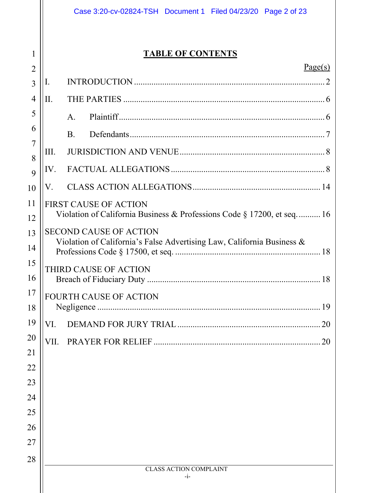## **TABLE OF CONTENTS**

| $\overline{2}$ | Page(s)                                                                                                 |  |  |  |  |
|----------------|---------------------------------------------------------------------------------------------------------|--|--|--|--|
| $\overline{3}$ | I.                                                                                                      |  |  |  |  |
| $\overline{4}$ | II.                                                                                                     |  |  |  |  |
| 5              | A <sub>1</sub>                                                                                          |  |  |  |  |
| 6              | <b>B.</b>                                                                                               |  |  |  |  |
| 7              | Ш.                                                                                                      |  |  |  |  |
| 8              | IV.                                                                                                     |  |  |  |  |
| 9              |                                                                                                         |  |  |  |  |
| 10             | V.                                                                                                      |  |  |  |  |
| 11             | <b>FIRST CAUSE OF ACTION</b><br>Violation of California Business & Professions Code § 17200, et seq 16  |  |  |  |  |
| 12             |                                                                                                         |  |  |  |  |
| 13             | <b>SECOND CAUSE OF ACTION</b><br>Violation of California's False Advertising Law, California Business & |  |  |  |  |
| 14             |                                                                                                         |  |  |  |  |
| 15             | THIRD CAUSE OF ACTION                                                                                   |  |  |  |  |
| 16             |                                                                                                         |  |  |  |  |
| 17<br>18       | <b>FOURTH CAUSE OF ACTION</b>                                                                           |  |  |  |  |
| 19             | VI.<br>20                                                                                               |  |  |  |  |
| 20             |                                                                                                         |  |  |  |  |
| 21             | PRAYER FOR RELIEF<br>VII.<br>20                                                                         |  |  |  |  |
| 22             |                                                                                                         |  |  |  |  |
| 23             |                                                                                                         |  |  |  |  |
| 24             |                                                                                                         |  |  |  |  |
| 25             |                                                                                                         |  |  |  |  |
| 26             |                                                                                                         |  |  |  |  |
| 27             |                                                                                                         |  |  |  |  |
| 28             |                                                                                                         |  |  |  |  |
|                | <b>CLASS ACTION COMPLAINT</b><br>$-i-$                                                                  |  |  |  |  |
|                |                                                                                                         |  |  |  |  |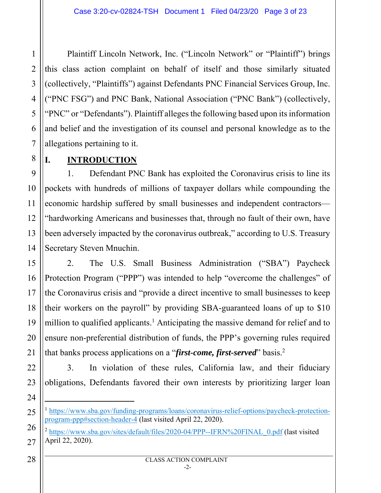Plaintiff Lincoln Network, Inc. ("Lincoln Network" or "Plaintiff") brings this class action complaint on behalf of itself and those similarly situated (collectively, "Plaintiffs") against Defendants PNC Financial Services Group, Inc. ("PNC FSG") and PNC Bank, National Association ("PNC Bank") (collectively, "PNC" or "Defendants"). Plaintiff alleges the following based upon its information and belief and the investigation of its counsel and personal knowledge as to the allegations pertaining to it.

## **I. INTRODUCTION**

1

2

3

4

5

6

7

8

9

11

15

16

17

18

21

24

25

26

27

10 12 13 14 1. Defendant PNC Bank has exploited the Coronavirus crisis to line its pockets with hundreds of millions of taxpayer dollars while compounding the economic hardship suffered by small businesses and independent contractors— "hardworking Americans and businesses that, through no fault of their own, have been adversely impacted by the coronavirus outbreak," according to U.S. Treasury Secretary Steven Mnuchin.

19 20 2. The U.S. Small Business Administration ("SBA") Paycheck Protection Program ("PPP") was intended to help "overcome the challenges" of the Coronavirus crisis and "provide a direct incentive to small businesses to keep their workers on the payroll" by providing SBA-guaranteed loans of up to \$10 million to qualified applicants.<sup>1</sup> Anticipating the massive demand for relief and to ensure non-preferential distribution of funds, the PPP's governing rules required that banks process applications on a "*first-come, first-served*" basis.2

22 23 3. In violation of these rules, California law, and their fiduciary obligations, Defendants favored their own interests by prioritizing larger loan

<sup>&</sup>lt;sup>1</sup> https://www.sba.gov/funding-programs/loans/coronavirus-relief-options/paycheck-protectionprogram-ppp#section-header-4 (last visited April 22, 2020).

<sup>&</sup>lt;sup>2</sup> https://www.sba.gov/sites/default/files/2020-04/PPP--IFRN%20FINAL\_0.pdf (last visited April 22, 2020).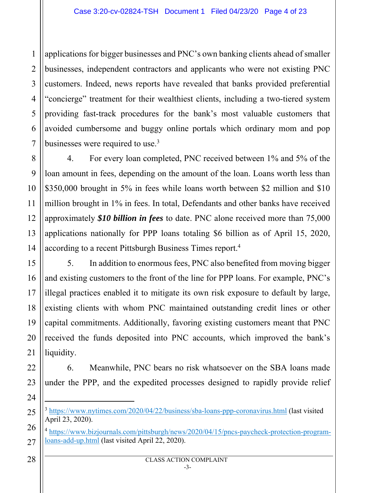1 2 3 applications for bigger businesses and PNC's own banking clients ahead of smaller businesses, independent contractors and applicants who were not existing PNC customers. Indeed, news reports have revealed that banks provided preferential "concierge" treatment for their wealthiest clients, including a two-tiered system providing fast-track procedures for the bank's most valuable customers that avoided cumbersome and buggy online portals which ordinary mom and pop businesses were required to use.<sup>3</sup>

4. For every loan completed, PNC received between 1% and 5% of the loan amount in fees, depending on the amount of the loan. Loans worth less than \$350,000 brought in 5% in fees while loans worth between \$2 million and \$10 million brought in 1% in fees. In total, Defendants and other banks have received approximately *\$10 billion in fees* to date. PNC alone received more than 75,000 applications nationally for PPP loans totaling \$6 billion as of April 15, 2020, according to a recent Pittsburgh Business Times report.4

5. In addition to enormous fees, PNC also benefited from moving bigger and existing customers to the front of the line for PPP loans. For example, PNC's illegal practices enabled it to mitigate its own risk exposure to default by large, existing clients with whom PNC maintained outstanding credit lines or other capital commitments. Additionally, favoring existing customers meant that PNC received the funds deposited into PNC accounts, which improved the bank's liquidity.

6. Meanwhile, PNC bears no risk whatsoever on the SBA loans made under the PPP, and the expedited processes designed to rapidly provide relief

- <sup>3</sup> https://www.nytimes.com/2020/04/22/business/sba-loans-ppp-coronavirus.html (last visited April 23, 2020).
- <sup>4</sup> https://www.bizjournals.com/pittsburgh/news/2020/04/15/pncs-paycheck-protection-programloans-add-up.html (last visited April 22, 2020).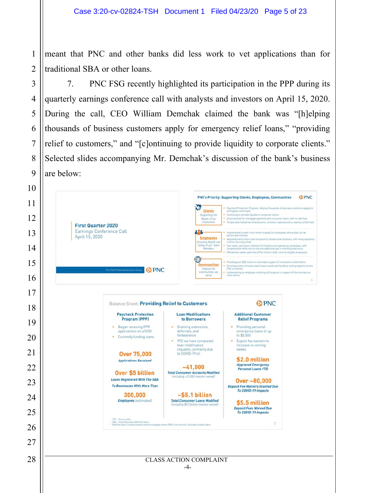meant that PNC and other banks did less work to vet applications than for traditional SBA or other loans.

7. PNC FSG recently highlighted its participation in the PPP during its quarterly earnings conference call with analysts and investors on April 15, 2020. During the call, CEO William Demchak claimed the bank was "[h]elping thousands of business customers apply for emergency relief loans," "providing relief to customers," and "[c]ontinuing to provide liquidity to corporate clients." Selected slides accompanying Mr. Demchak's discussion of the bank's business are below:

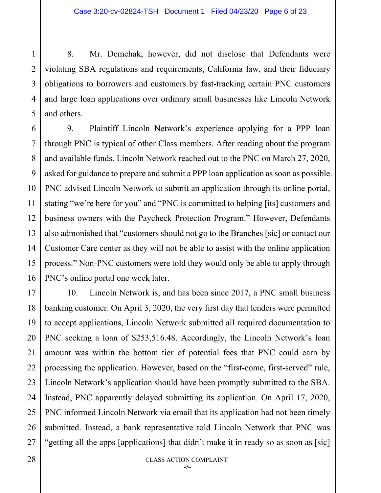8. Mr. Demchak, however, did not disclose that Defendants were violating SBA regulations and requirements, California law, and their fiduciary obligations to borrowers and customers by fast-tracking certain PNC customers and large loan applications over ordinary small businesses like Lincoln Network and others.

9. Plaintiff Lincoln Network's experience applying for a PPP loan through PNC is typical of other Class members. After reading about the program and available funds, Lincoln Network reached out to the PNC on March 27, 2020, asked for guidance to prepare and submit a PPP loan application as soon as possible. PNC advised Lincoln Network to submit an application through its online portal, stating "we're here for you" and "PNC is committed to helping [its] customers and business owners with the Paycheck Protection Program." However, Defendants also admonished that "customers should not go to the Branches [sic] or contact our Customer Care center as they will not be able to assist with the online application process." Non-PNC customers were told they would only be able to apply through PNC's online portal one week later.

10. Lincoln Network is, and has been since 2017, a PNC small business banking customer. On April 3, 2020, the very first day that lenders were permitted to accept applications, Lincoln Network submitted all required documentation to PNC seeking a loan of \$253,516.48. Accordingly, the Lincoln Network's loan amount was within the bottom tier of potential fees that PNC could earn by processing the application. However, based on the "first-come, first-served" rule, Lincoln Network's application should have been promptly submitted to the SBA. Instead, PNC apparently delayed submitting its application. On April 17, 2020, PNC informed Lincoln Network via email that its application had not been timely submitted. Instead, a bank representative told Lincoln Network that PNC was "getting all the apps [applications] that didn't make it in ready so as soon as [sic]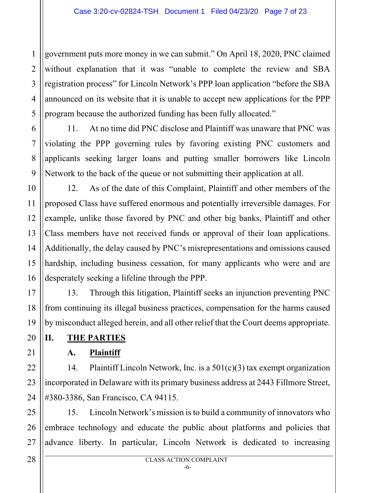1 2 3 4 5 government puts more money in we can submit." On April 18, 2020, PNC claimed without explanation that it was "unable to complete the review and SBA registration process" for Lincoln Network's PPP loan application "before the SBA announced on its website that it is unable to accept new applications for the PPP program because the authorized funding has been fully allocated."

11. At no time did PNC disclose and Plaintiff was unaware that PNC was violating the PPP governing rules by favoring existing PNC customers and applicants seeking larger loans and putting smaller borrowers like Lincoln Network to the back of the queue or not submitting their application at all.

10 12 13 14 15 16 12. As of the date of this Complaint, Plaintiff and other members of the proposed Class have suffered enormous and potentially irreversible damages. For example, unlike those favored by PNC and other big banks, Plaintiff and other Class members have not received funds or approval of their loan applications. Additionally, the delay caused by PNC's misrepresentations and omissions caused hardship, including business cessation, for many applicants who were and are desperately seeking a lifeline through the PPP.

13. Through this litigation, Plaintiff seeks an injunction preventing PNC from continuing its illegal business practices, compensation for the harms caused by misconduct alleged herein, and all other relief that the Court deems appropriate.

**II. THE PARTIES** 

6

7

8

9

11

17

18

19

20

21

22

23

24

## **A. Plaintiff**

14. Plaintiff Lincoln Network, Inc. is a 501(c)(3) tax exempt organization incorporated in Delaware with its primary business address at 2443 Fillmore Street, #380-3386, San Francisco, CA 94115.

25 26 27 15. Lincoln Network's mission is to build a community of innovators who embrace technology and educate the public about platforms and policies that advance liberty. In particular, Lincoln Network is dedicated to increasing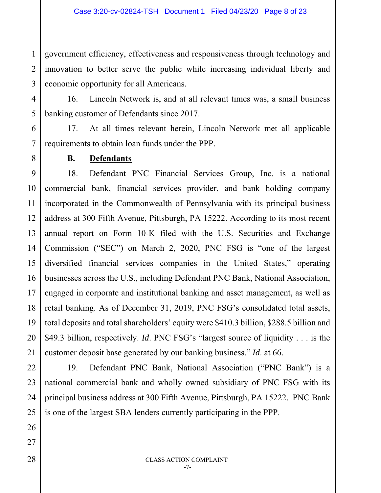1 2 3 government efficiency, effectiveness and responsiveness through technology and innovation to better serve the public while increasing individual liberty and economic opportunity for all Americans.

16. Lincoln Network is, and at all relevant times was, a small business banking customer of Defendants since 2017.

17. At all times relevant herein, Lincoln Network met all applicable requirements to obtain loan funds under the PPP.

**B. Defendants** 

4

5

6

7

8

9 10 11 12 13 14 15 16 17 18 19 20 21 18. Defendant PNC Financial Services Group, Inc. is a national commercial bank, financial services provider, and bank holding company incorporated in the Commonwealth of Pennsylvania with its principal business address at 300 Fifth Avenue, Pittsburgh, PA 15222. According to its most recent annual report on Form 10-K filed with the U.S. Securities and Exchange Commission ("SEC") on March 2, 2020, PNC FSG is "one of the largest diversified financial services companies in the United States," operating businesses across the U.S., including Defendant PNC Bank, National Association, engaged in corporate and institutional banking and asset management, as well as retail banking. As of December 31, 2019, PNC FSG's consolidated total assets, total deposits and total shareholders' equity were \$410.3 billion, \$288.5 billion and \$49.3 billion, respectively. *Id*. PNC FSG's "largest source of liquidity . . . is the customer deposit base generated by our banking business." *Id*. at 66.

25 19. Defendant PNC Bank, National Association ("PNC Bank") is a national commercial bank and wholly owned subsidiary of PNC FSG with its principal business address at 300 Fifth Avenue, Pittsburgh, PA 15222. PNC Bank is one of the largest SBA lenders currently participating in the PPP.

22

23

24

26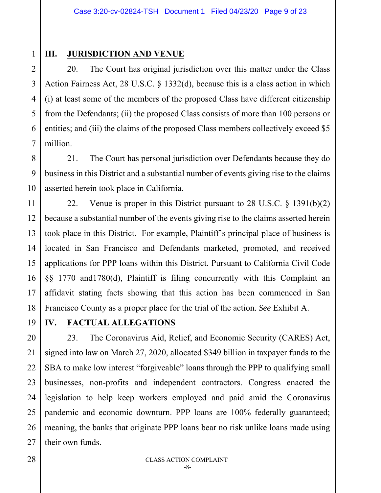1 2

3

4

5

6

## **III.** JURISDICTION AND VENUE

20. The Court has original jurisdiction over this matter under the Class Action Fairness Act, 28 U.S.C. § 1332(d), because this is a class action in which (i) at least some of the members of the proposed Class have different citizenship from the Defendants; (ii) the proposed Class consists of more than 100 persons or entities; and (iii) the claims of the proposed Class members collectively exceed \$5 million.

21. The Court has personal jurisdiction over Defendants because they do business in this District and a substantial number of events giving rise to the claims asserted herein took place in California.

22. Venue is proper in this District pursuant to 28 U.S.C. § 1391(b)(2) because a substantial number of the events giving rise to the claims asserted herein took place in this District. For example, Plaintiff's principal place of business is located in San Francisco and Defendants marketed, promoted, and received applications for PPP loans within this District. Pursuant to California Civil Code §§ 1770 and1780(d), Plaintiff is filing concurrently with this Complaint an affidavit stating facts showing that this action has been commenced in San Francisco County as a proper place for the trial of the action. *See* Exhibit A.

## **IV. FACTUAL ALLEGATIONS**

23. The Coronavirus Aid, Relief, and Economic Security (CARES) Act, signed into law on March 27, 2020, allocated \$349 billion in taxpayer funds to the SBA to make low interest "forgiveable" loans through the PPP to qualifying small businesses, non-profits and independent contractors. Congress enacted the legislation to help keep workers employed and paid amid the Coronavirus pandemic and economic downturn. PPP loans are 100% federally guaranteed; meaning, the banks that originate PPP loans bear no risk unlike loans made using their own funds.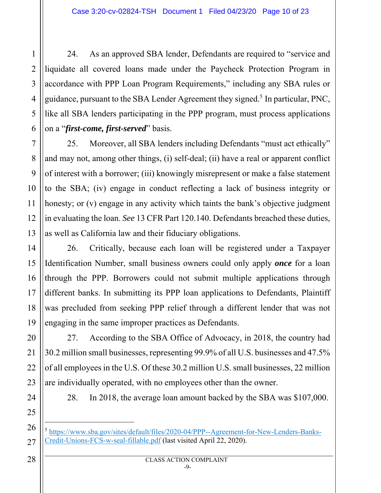24. As an approved SBA lender, Defendants are required to "service and liquidate all covered loans made under the Paycheck Protection Program in accordance with PPP Loan Program Requirements," including any SBA rules or guidance, pursuant to the SBA Lender Agreement they signed.<sup>5</sup> In particular, PNC, like all SBA lenders participating in the PPP program, must process applications on a "*first-come, first-served*" basis.

8 9 10 12 13 25. Moreover, all SBA lenders including Defendants "must act ethically" and may not, among other things, (i) self-deal; (ii) have a real or apparent conflict of interest with a borrower; (iii) knowingly misrepresent or make a false statement to the SBA; (iv) engage in conduct reflecting a lack of business integrity or honesty; or (v) engage in any activity which taints the bank's objective judgment in evaluating the loan. *See* 13 CFR Part 120.140. Defendants breached these duties, as well as California law and their fiduciary obligations.

14 26. Critically, because each loan will be registered under a Taxpayer Identification Number, small business owners could only apply *once* for a loan through the PPP. Borrowers could not submit multiple applications through different banks. In submitting its PPP loan applications to Defendants, Plaintiff was precluded from seeking PPP relief through a different lender that was not engaging in the same improper practices as Defendants.

27. According to the SBA Office of Advocacy, in 2018, the country had 30.2 million small businesses, representing 99.9% of all U.S. businesses and 47.5% of all employees in the U.S. Of these 30.2 million U.S. small businesses, 22 million are individually operated, with no employees other than the owner.

28. In 2018, the average loan amount backed by the SBA was \$107,000.

<sup>5</sup> https://www.sba.gov/sites/default/files/2020-04/PPP--Agreement-for-New-Lenders-Banks-Credit-Unions-FCS-w-seal-fillable.pdf (last visited April 22, 2020).

1

2

3

4

5

6

7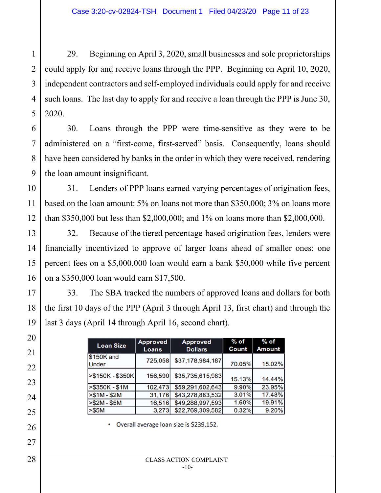29. Beginning on April 3, 2020, small businesses and sole proprietorships could apply for and receive loans through the PPP. Beginning on April 10, 2020, independent contractors and self-employed individuals could apply for and receive such loans. The last day to apply for and receive a loan through the PPP is June 30, 2020.

30. Loans through the PPP were time-sensitive as they were to be administered on a "first-come, first-served" basis. Consequently, loans should have been considered by banks in the order in which they were received, rendering the loan amount insignificant.

31. Lenders of PPP loans earned varying percentages of origination fees, based on the loan amount: 5% on loans not more than \$350,000; 3% on loans more than \$350,000 but less than \$2,000,000; and 1% on loans more than \$2,000,000.

32. Because of the tiered percentage-based origination fees, lenders were financially incentivized to approve of larger loans ahead of smaller ones: one percent fees on a \$5,000,000 loan would earn a bank \$50,000 while five percent on a \$350,000 loan would earn \$17,500.

33. The SBA tracked the numbers of approved loans and dollars for both the first 10 days of the PPP (April 3 through April 13, first chart) and through the last 3 days (April 14 through April 16, second chart).

| <b>Loan Size</b>           | <b>Approved</b><br><b>Loans</b> | <b>Approved</b><br><b>Dollars</b> | $%$ of<br>Count | $%$ of<br><b>Amount</b> |
|----------------------------|---------------------------------|-----------------------------------|-----------------|-------------------------|
| \$150K and<br><b>Under</b> | 725,058                         | \$37,178,984,187                  | 70.05%          | 15.02%                  |
| >\$150K - \$350K           | 156,590                         | \$35,735,615,983                  | 15.13%          | 14.44%                  |
| >\$350K - \$1M             | 102,473                         | \$59,291,602,643                  | 9.90%           | 23.95%                  |
| $> $1M - $2M$              | 31,176                          | \$43,278,883,532                  | 3.01%           | 17.48%                  |
| $> $2M - $5M$              | 16,516                          | \$49,288,997,593                  | 1.60%           | 19.91%                  |
| > \$5M                     | 3,273                           | \$22,769,309,582                  | 0.32%           | 9.20%                   |

Overall average loan size is \$239,152.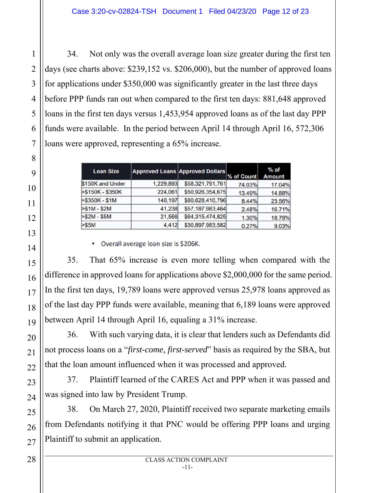34. Not only was the overall average loan size greater during the first ten days (see charts above: \$239,152 vs. \$206,000), but the number of approved loans for applications under \$350,000 was significantly greater in the last three days before PPP funds ran out when compared to the first ten days: 881,648 approved loans in the first ten days versus 1,453,954 approved loans as of the last day PPP funds were available. In the period between April 14 through April 16, 572,306 loans were approved, representing a 65% increase.

| <b>Loan Size</b> |           | <b>Approved Loans Approved Dollars</b> | % of Count | $%$ of<br><b>Amount</b> |
|------------------|-----------|----------------------------------------|------------|-------------------------|
| \$150K and Under | 1,229,893 | \$58,321,791,761                       | 74.03%     | 17.04%                  |
| >\$150K - \$350K | 224,061   | \$50,926,354,675                       | 13.49%     | 14.88%                  |
| >\$350K - \$1M   | 140,197   | \$80,628,410,796                       | 8.44%      | 23.56%                  |
| $> $1M - $2M$    | 41,238    | \$57,187,983,464                       | 2.48%      | 16.71%                  |
| $> $2M - $5M$    | 21,566    | \$64,315,474,825                       | 1.30%      | 18.79%                  |
| $>$ \$5M         | 4.412     | \$30,897,983,582                       | 0.27%      | 9.03%                   |

• Overall average loan size is \$206K.

35. That 65% increase is even more telling when compared with the difference in approved loans for applications above \$2,000,000 for the same period. In the first ten days, 19,789 loans were approved versus 25,978 loans approved as of the last day PPP funds were available, meaning that 6,189 loans were approved between April 14 through April 16, equaling a 31% increase.

36. With such varying data, it is clear that lenders such as Defendants did not process loans on a "*first-come, first-served*" basis as required by the SBA, but that the loan amount influenced when it was processed and approved.

37. Plaintiff learned of the CARES Act and PPP when it was passed and was signed into law by President Trump.

38. On March 27, 2020, Plaintiff received two separate marketing emails from Defendants notifying it that PNC would be offering PPP loans and urging Plaintiff to submit an application.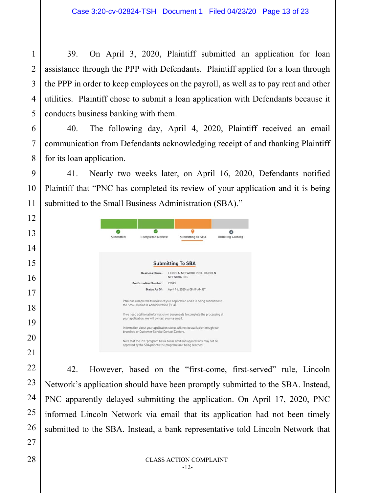39. On April 3, 2020, Plaintiff submitted an application for loan assistance through the PPP with Defendants. Plaintiff applied for a loan through the PPP in order to keep employees on the payroll, as well as to pay rent and other utilities. Plaintiff chose to submit a loan application with Defendants because it conducts business banking with them.

40. The following day, April 4, 2020, Plaintiff received an email communication from Defendants acknowledging receipt of and thanking Plaintiff for its loan application.

41. Nearly two weeks later, on April 16, 2020, Defendants notified Plaintiff that "PNC has completed its review of your application and it is being submitted to the Small Business Administration (SBA)."

| Submitted | <b>Completed Review</b>                                                                                                                   |                          | Submitting to SBA             | Initiating Closing |
|-----------|-------------------------------------------------------------------------------------------------------------------------------------------|--------------------------|-------------------------------|--------------------|
|           |                                                                                                                                           | <b>Submitting To SBA</b> |                               |                    |
|           | <b>Business Name:</b>                                                                                                                     | NETWORK INC.             | LINCOLN NETWORK INC L LINCOLN |                    |
|           | <b>Confirmation Number:</b>                                                                                                               | 27043                    |                               |                    |
|           | Status As Of:                                                                                                                             |                          | April 16, 2020 at 08:49 AM ET |                    |
|           | PNC has completed its review of your application and it is being submitted to<br>the Small Business Administration (SBA).                 |                          |                               |                    |
|           | If we need additional information or documents to complete the processing of<br>your application, we will contact you via email.          |                          |                               |                    |
|           | Information about your application status will not be available through our<br>branches or Customer Service Contact Centers.              |                          |                               |                    |
|           | Note that the PPP program has a dollar limit and applications may not be<br>approved by the SBA prior to the program limit being reached. |                          |                               |                    |

42. However, based on the "first-come, first-served" rule, Lincoln Network's application should have been promptly submitted to the SBA. Instead, PNC apparently delayed submitting the application. On April 17, 2020, PNC informed Lincoln Network via email that its application had not been timely submitted to the SBA. Instead, a bank representative told Lincoln Network that

1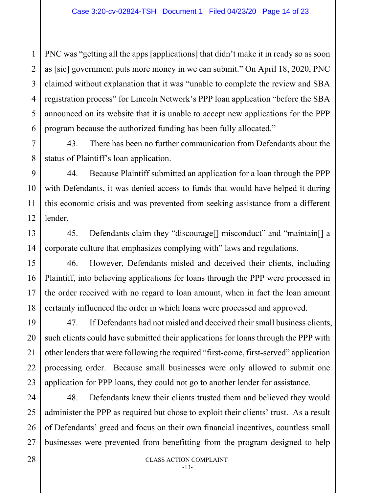1 2 3 4 PNC was "getting all the apps [applications] that didn't make it in ready so as soon as [sic] government puts more money in we can submit." On April 18, 2020, PNC claimed without explanation that it was "unable to complete the review and SBA registration process" for Lincoln Network's PPP loan application "before the SBA announced on its website that it is unable to accept new applications for the PPP program because the authorized funding has been fully allocated."

43. There has been no further communication from Defendants about the status of Plaintiff's loan application.

44. Because Plaintiff submitted an application for a loan through the PPP with Defendants, it was denied access to funds that would have helped it during this economic crisis and was prevented from seeking assistance from a different lender.

45. Defendants claim they "discourage<sup>[]</sup> misconduct" and "maintain<sup>[]</sup> a corporate culture that emphasizes complying with" laws and regulations.

46. However, Defendants misled and deceived their clients, including Plaintiff, into believing applications for loans through the PPP were processed in the order received with no regard to loan amount, when in fact the loan amount certainly influenced the order in which loans were processed and approved.

47. If Defendants had not misled and deceived their small business clients, such clients could have submitted their applications for loans through the PPP with other lenders that were following the required "first-come, first-served" application processing order. Because small businesses were only allowed to submit one application for PPP loans, they could not go to another lender for assistance.

48. Defendants knew their clients trusted them and believed they would administer the PPP as required but chose to exploit their clients' trust. As a result of Defendants' greed and focus on their own financial incentives, countless small businesses were prevented from benefitting from the program designed to help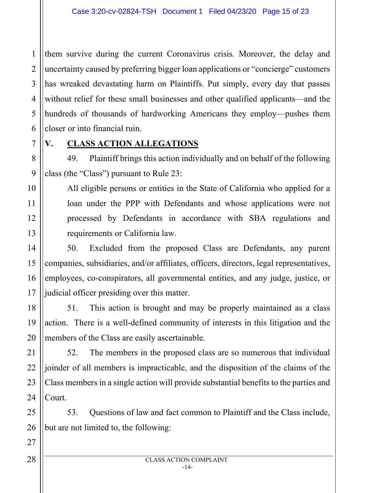1 2 3 4 5 6 them survive during the current Coronavirus crisis. Moreover, the delay and uncertainty caused by preferring bigger loan applications or "concierge" customers has wreaked devastating harm on Plaintiffs. Put simply, every day that passes without relief for these small businesses and other qualified applicants—and the hundreds of thousands of hardworking Americans they employ—pushes them closer or into financial ruin.

7

8

#### **V. CLASS ACTION ALLEGATIONS**

49. Plaintiff brings this action individually and on behalf of the following class (the "Class") pursuant to Rule 23:

All eligible persons or entities in the State of California who applied for a loan under the PPP with Defendants and whose applications were not processed by Defendants in accordance with SBA regulations and requirements or California law.

50. Excluded from the proposed Class are Defendants, any parent companies, subsidiaries, and/or affiliates, officers, directors, legal representatives, employees, co-conspirators, all governmental entities, and any judge, justice, or judicial officer presiding over this matter.

51. This action is brought and may be properly maintained as a class action. There is a well-defined community of interests in this litigation and the members of the Class are easily ascertainable.

52. The members in the proposed class are so numerous that individual joinder of all members is impracticable, and the disposition of the claims of the Class members in a single action will provide substantial benefits to the parties and Court.

53. Questions of law and fact common to Plaintiff and the Class include, but are not limited to, the following: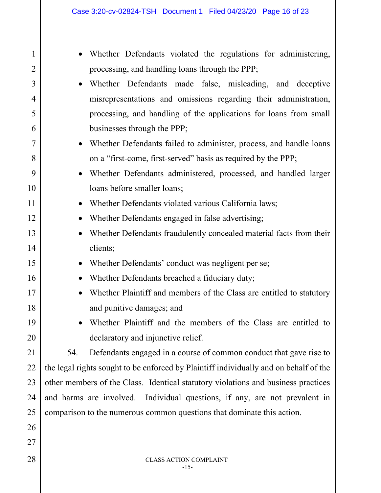| 1              | Whether Defendants violated the regulations for administering,                        |
|----------------|---------------------------------------------------------------------------------------|
| $\overline{2}$ | processing, and handling loans through the PPP;                                       |
| 3              | Whether Defendants made false, misleading, and deceptive                              |
| 4              | misrepresentations and omissions regarding their administration,                      |
| 5              | processing, and handling of the applications for loans from small                     |
| 6              | businesses through the PPP;                                                           |
| 7              | Whether Defendants failed to administer, process, and handle loans                    |
| 8              | on a "first-come, first-served" basis as required by the PPP;                         |
| 9              | Whether Defendants administered, processed, and handled larger                        |
| 10             | loans before smaller loans;                                                           |
| 11             | Whether Defendants violated various California laws;                                  |
| 12             | Whether Defendants engaged in false advertising;<br>$\bullet$                         |
| 13             | Whether Defendants fraudulently concealed material facts from their                   |
| 14             | clients;                                                                              |
| 15             | Whether Defendants' conduct was negligent per se;                                     |
| 16             | Whether Defendants breached a fiduciary duty;<br>$\bullet$                            |
| 17             | Whether Plaintiff and members of the Class are entitled to statutory                  |
| 18             | and punitive damages; and                                                             |
| 19             | Whether Plaintiff and the members of the Class are entitled to                        |
| 20             | declaratory and injunctive relief.                                                    |
| 21             | Defendants engaged in a course of common conduct that gave rise to<br>54.             |
| 22             | the legal rights sought to be enforced by Plaintiff individually and on behalf of the |
| 23             | other members of the Class. Identical statutory violations and business practices     |
| 24             | and harms are involved. Individual questions, if any, are not prevalent in            |
| 25             | comparison to the numerous common questions that dominate this action.                |
| 26             |                                                                                       |
| 27             |                                                                                       |
| 28             | <b>CLASS ACTION COMPLAINT</b>                                                         |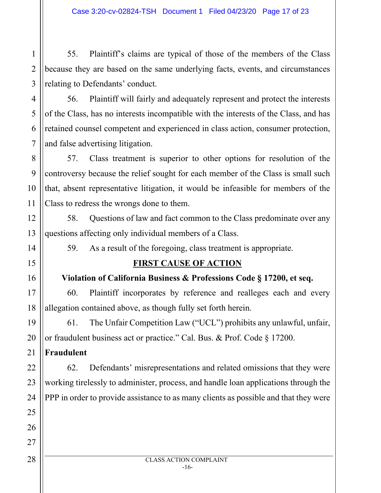1 55. Plaintiff's claims are typical of those of the members of the Class because they are based on the same underlying facts, events, and circumstances relating to Defendants' conduct.

56. Plaintiff will fairly and adequately represent and protect the interests of the Class, has no interests incompatible with the interests of the Class, and has retained counsel competent and experienced in class action, consumer protection, and false advertising litigation.

57. Class treatment is superior to other options for resolution of the controversy because the relief sought for each member of the Class is small such that, absent representative litigation, it would be infeasible for members of the Class to redress the wrongs done to them.

58. Questions of law and fact common to the Class predominate over any questions affecting only individual members of a Class.

59. As a result of the foregoing, class treatment is appropriate.

## **FIRST CAUSE OF ACTION**

## **Violation of California Business & Professions Code § 17200, et seq.**

60. Plaintiff incorporates by reference and realleges each and every allegation contained above, as though fully set forth herein.

61. The Unfair Competition Law ("UCL") prohibits any unlawful, unfair, or fraudulent business act or practice." Cal. Bus. & Prof. Code § 17200.

**Fraudulent** 

62. Defendants' misrepresentations and related omissions that they were working tirelessly to administer, process, and handle loan applications through the PPP in order to provide assistance to as many clients as possible and that they were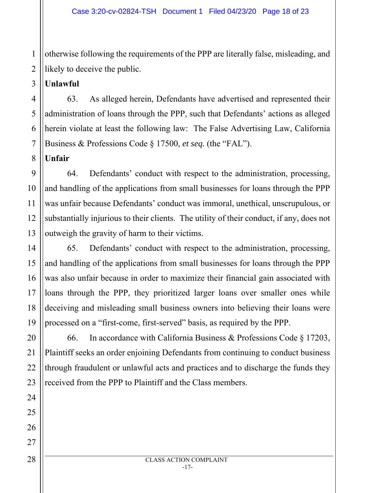1 otherwise following the requirements of the PPP are literally false, misleading, and likely to deceive the public.

**Unlawful** 

63. As alleged herein, Defendants have advertised and represented their administration of loans through the PPP, such that Defendants' actions as alleged herein violate at least the following law: The False Advertising Law, California Business & Professions Code § 17500, *et seq.* (the "FAL").

**Unfair** 

64. Defendants' conduct with respect to the administration, processing, and handling of the applications from small businesses for loans through the PPP was unfair because Defendants' conduct was immoral, unethical, unscrupulous, or substantially injurious to their clients. The utility of their conduct, if any, does not outweigh the gravity of harm to their victims.

65. Defendants' conduct with respect to the administration, processing, and handling of the applications from small businesses for loans through the PPP was also unfair because in order to maximize their financial gain associated with loans through the PPP, they prioritized larger loans over smaller ones while deceiving and misleading small business owners into believing their loans were processed on a "first-come, first-served" basis, as required by the PPP.

66. In accordance with California Business & Professions Code § 17203, Plaintiff seeks an order enjoining Defendants from continuing to conduct business through fraudulent or unlawful acts and practices and to discharge the funds they received from the PPP to Plaintiff and the Class members.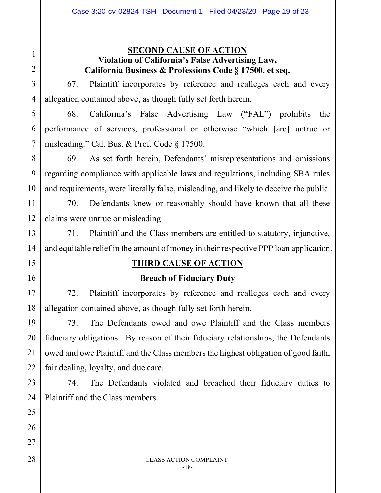#### **SECOND CAUSE OF ACTION Violation of California's False Advertising Law, California Business & Professions Code § 17500, et seq.**

67. Plaintiff incorporates by reference and realleges each and every allegation contained above, as though fully set forth herein.

68. California's False Advertising Law ("FAL") prohibits the performance of services, professional or otherwise "which [are] untrue or misleading." Cal. Bus. & Prof. Code § 17500.

69. As set forth herein, Defendants' misrepresentations and omissions regarding compliance with applicable laws and regulations, including SBA rules and requirements, were literally false, misleading, and likely to deceive the public.

70. Defendants knew or reasonably should have known that all these claims were untrue or misleading.

71. Plaintiff and the Class members are entitled to statutory, injunctive, and equitable relief in the amount of money in their respective PPP loan application.

## **THIRD CAUSE OF ACTION**

#### **Breach of Fiduciary Duty**

72. Plaintiff incorporates by reference and realleges each and every allegation contained above, as though fully set forth herein.

73. The Defendants owed and owe Plaintiff and the Class members fiduciary obligations. By reason of their fiduciary relationships, the Defendants owed and owe Plaintiff and the Class members the highest obligation of good faith, fair dealing, loyalty, and due care.

74. The Defendants violated and breached their fiduciary duties to Plaintiff and the Class members.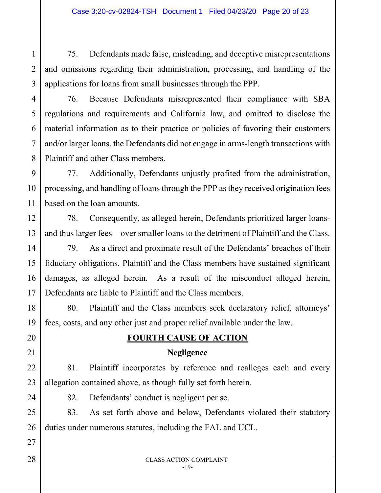75. Defendants made false, misleading, and deceptive misrepresentations and omissions regarding their administration, processing, and handling of the applications for loans from small businesses through the PPP.

76. Because Defendants misrepresented their compliance with SBA regulations and requirements and California law, and omitted to disclose the material information as to their practice or policies of favoring their customers and/or larger loans, the Defendants did not engage in arms-length transactions with Plaintiff and other Class members.

77. Additionally, Defendants unjustly profited from the administration, processing, and handling of loans through the PPP as they received origination fees based on the loan amounts.

78. Consequently, as alleged herein, Defendants prioritized larger loansand thus larger fees—over smaller loans to the detriment of Plaintiff and the Class.

79. As a direct and proximate result of the Defendants' breaches of their fiduciary obligations, Plaintiff and the Class members have sustained significant damages, as alleged herein. As a result of the misconduct alleged herein, Defendants are liable to Plaintiff and the Class members.

80. Plaintiff and the Class members seek declaratory relief, attorneys' fees, costs, and any other just and proper relief available under the law.

## **FOURTH CAUSE OF ACTION**

## **Negligence**

81. Plaintiff incorporates by reference and realleges each and every allegation contained above, as though fully set forth herein.

82. Defendants' conduct is negligent per se.

83. As set forth above and below, Defendants violated their statutory duties under numerous statutes, including the FAL and UCL.

1

2

3

4

5

6

7

8

9

10

11

12

13

14

15

16

17

18

19

20

21

22

23

24

25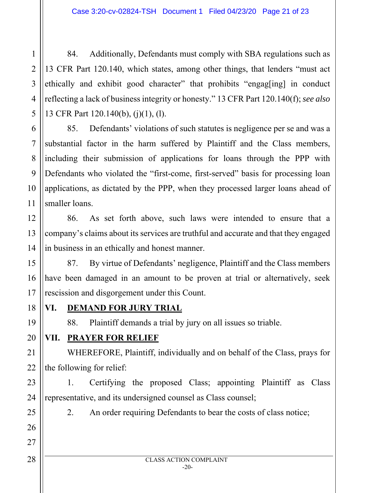84. Additionally, Defendants must comply with SBA regulations such as 13 CFR Part 120.140, which states, among other things, that lenders "must act ethically and exhibit good character" that prohibits "engag[ing] in conduct reflecting a lack of business integrity or honesty." 13 CFR Part 120.140(f); *see also* 13 CFR Part 120.140(b), (j)(1), (l).

85. Defendants' violations of such statutes is negligence per se and was a substantial factor in the harm suffered by Plaintiff and the Class members, including their submission of applications for loans through the PPP with Defendants who violated the "first-come, first-served" basis for processing loan applications, as dictated by the PPP, when they processed larger loans ahead of smaller loans.

86. As set forth above, such laws were intended to ensure that a company's claims about its services are truthful and accurate and that they engaged in business in an ethically and honest manner.

87. By virtue of Defendants' negligence, Plaintiff and the Class members have been damaged in an amount to be proven at trial or alternatively, seek rescission and disgorgement under this Count.

18 **VI. DEMAND FOR JURY TRIAL** 

88. Plaintiff demands a trial by jury on all issues so triable.

## **VII. PRAYER FOR RELIEF**

WHEREFORE, Plaintiff, individually and on behalf of the Class, prays for the following for relief:

1. Certifying the proposed Class; appointing Plaintiff as Class representative, and its undersigned counsel as Class counsel;

1

2

3

4

5

6

7

8

9

10

11

12

13

14

15

16

17

19

20

21

22

23

24

25

26

27

2. An order requiring Defendants to bear the costs of class notice;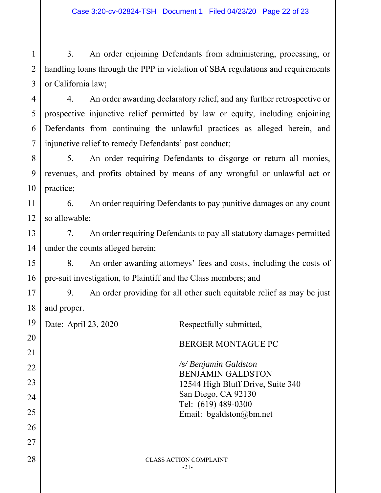1 2 3 3. An order enjoining Defendants from administering, processing, or handling loans through the PPP in violation of SBA regulations and requirements or California law;

4 5 6 7 4. An order awarding declaratory relief, and any further retrospective or prospective injunctive relief permitted by law or equity, including enjoining Defendants from continuing the unlawful practices as alleged herein, and injunctive relief to remedy Defendants' past conduct;

8 9 10 5. An order requiring Defendants to disgorge or return all monies, revenues, and profits obtained by means of any wrongful or unlawful act or practice;

11 12 6. An order requiring Defendants to pay punitive damages on any count so allowable;

13 14 7. An order requiring Defendants to pay all statutory damages permitted under the counts alleged herein;

15 16 8. An order awarding attorneys' fees and costs, including the costs of pre-suit investigation, to Plaintiff and the Class members; and

17 18 9. An order providing for all other such equitable relief as may be just and proper.

19 Date: April 23, 2020 Respectfully submitted,

20

21

22

23

24

25

26

27

BERGER MONTAGUE PC */s/ Benjamin Galdston* BENJAMIN GALDSTON 12544 High Bluff Drive, Suite 340 San Diego, CA 92130 Tel: (619) 489-0300 Email: bgaldston@bm.net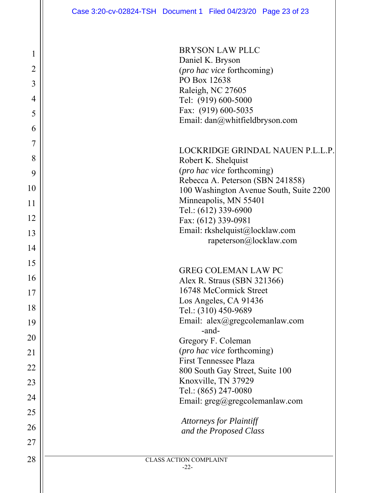28 || CLASS ACTION COMPLAINT BRYSON LAW PLLC Daniel K. Bryson (*pro hac vice* forthcoming) PO Box 12638 Raleigh, NC 27605 Tel: (919) 600-5000 Fax: (919) 600-5035 Email: dan@whitfieldbryson.com LOCKRIDGE GRINDAL NAUEN P.L.L.P. Robert K. Shelquist (*pro hac vice* forthcoming) Rebecca A. Peterson (SBN 241858) 100 Washington Avenue South, Suite 2200 Minneapolis, MN 55401 Tel.: (612) 339-6900 Fax: (612) 339-0981 Email: rkshelquist@locklaw.com rapeterson@locklaw.com GREG COLEMAN LAW PC Alex R. Straus (SBN 321366) 16748 McCormick Street Los Angeles, CA 91436 Tel.: (310) 450-9689 Email: alex@gregcolemanlaw.com -and-Gregory F. Coleman (*pro hac vice* forthcoming) First Tennessee Plaza 800 South Gay Street, Suite 100 Knoxville, TN 37929 Tel.: (865) 247-0080 Email: greg@gregcolemanlaw.com *Attorneys for Plaintiff and the Proposed Class*